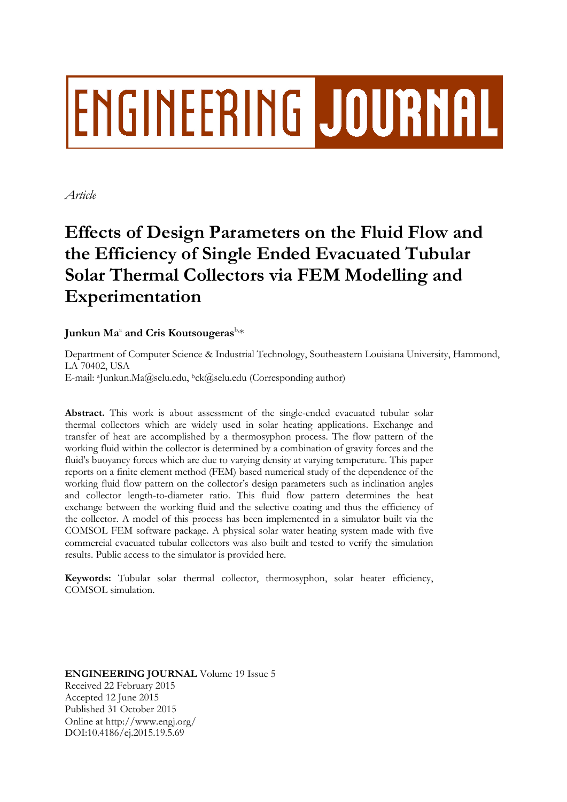# **ENGINEERING JOURNAL**

*Article*

# **Effects of Design Parameters on the Fluid Flow and the Efficiency of Single Ended Evacuated Tubular Solar Thermal Collectors via FEM Modelling and Experimentation**

# Junkun Ma $^{\text{a}}$  and Cris Koutsougeras $^{\text{b},\ast}$

Department of Computer Science & Industrial Technology, Southeastern Louisiana University, Hammond, LA 70402, USA E-mail: aJunkun.Ma@selu.edu, <sup>b</sup>ck@selu.edu (Corresponding author)

**Abstract.** This work is about assessment of the single-ended evacuated tubular solar thermal collectors which are widely used in solar heating applications. Exchange and transfer of heat are accomplished by a thermosyphon process. The flow pattern of the working fluid within the collector is determined by a combination of gravity forces and the fluid's buoyancy forces which are due to varying density at varying temperature. This paper reports on a finite element method (FEM) based numerical study of the dependence of the working fluid flow pattern on the collector's design parameters such as inclination angles and collector length-to-diameter ratio. This fluid flow pattern determines the heat exchange between the working fluid and the selective coating and thus the efficiency of the collector. A model of this process has been implemented in a simulator built via the COMSOL FEM software package. A physical solar water heating system made with five commercial evacuated tubular collectors was also built and tested to verify the simulation results. Public access to the simulator is provided here.

**Keywords:** Tubular solar thermal collector, thermosyphon, solar heater efficiency, COMSOL simulation.

**ENGINEERING JOURNAL** Volume 19 Issue 5 Received 22 February 2015 Accepted 12 June 2015 Published 31 October 2015 Online at http://www.engj.org/ DOI:10.4186/ej.2015.19.5.69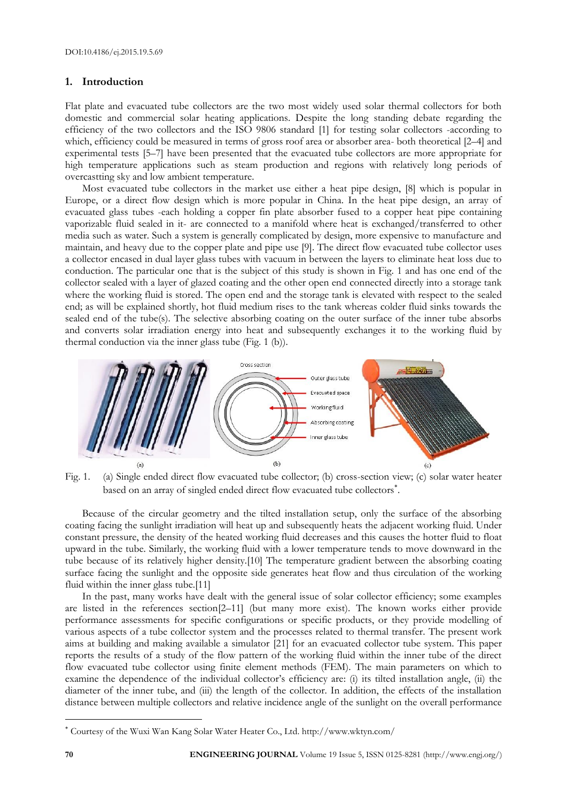# **1. Introduction**

Flat plate and evacuated tube collectors are the two most widely used solar thermal collectors for both domestic and commercial solar heating applications. Despite the long standing debate regarding the efficiency of the two collectors and the ISO 9806 standard [1] for testing solar collectors -according to which, efficiency could be measured in terms of gross roof area or absorber area- both theoretical [2–4] and experimental tests [5–7] have been presented that the evacuated tube collectors are more appropriate for high temperature applications such as steam production and regions with relatively long periods of overcastting sky and low ambient temperature.

Most evacuated tube collectors in the market use either a heat pipe design, [8] which is popular in Europe, or a direct flow design which is more popular in China. In the heat pipe design, an array of evacuated glass tubes -each holding a copper fin plate absorber fused to a copper heat pipe containing vaporizable fluid sealed in it- are connected to a manifold where heat is exchanged/transferred to other media such as water. Such a system is generally complicated by design, more expensive to manufacture and maintain, and heavy due to the copper plate and pipe use [9]. The direct flow evacuated tube collector uses a collector encased in dual layer glass tubes with vacuum in between the layers to eliminate heat loss due to conduction. The particular one that is the subject of this study is shown in Fig. 1 and has one end of the collector sealed with a layer of glazed coating and the other open end connected directly into a storage tank where the working fluid is stored. The open end and the storage tank is elevated with respect to the sealed end; as will be explained shortly, hot fluid medium rises to the tank whereas colder fluid sinks towards the sealed end of the tube(s). The selective absorbing coating on the outer surface of the inner tube absorbs and converts solar irradiation energy into heat and subsequently exchanges it to the working fluid by thermal conduction via the inner glass tube (Fig. 1 (b)).



Fig. 1. (a) Single ended direct flow evacuated tube collector; (b) cross-section view; (c) solar water heater based on an array of singled ended direct flow evacuated tube collectors .

Because of the circular geometry and the tilted installation setup, only the surface of the absorbing coating facing the sunlight irradiation will heat up and subsequently heats the adjacent working fluid. Under constant pressure, the density of the heated working fluid decreases and this causes the hotter fluid to float upward in the tube. Similarly, the working fluid with a lower temperature tends to move downward in the tube because of its relatively higher density.[10] The temperature gradient between the absorbing coating surface facing the sunlight and the opposite side generates heat flow and thus circulation of the working fluid within the inner glass tube.[11]

In the past, many works have dealt with the general issue of solar collector efficiency; some examples are listed in the references section[2–11] (but many more exist). The known works either provide performance assessments for specific configurations or specific products, or they provide modelling of various aspects of a tube collector system and the processes related to thermal transfer. The present work aims at building and making available a simulator [21] for an evacuated collector tube system. This paper reports the results of a study of the flow pattern of the working fluid within the inner tube of the direct flow evacuated tube collector using finite element methods (FEM). The main parameters on which to examine the dependence of the individual collector's efficiency are: (i) its tilted installation angle, (ii) the diameter of the inner tube, and (iii) the length of the collector. In addition, the effects of the installation distance between multiple collectors and relative incidence angle of the sunlight on the overall performance

 $\overline{a}$ 

Courtesy of the Wuxi Wan Kang Solar Water Heater Co., Ltd. http://www.wktyn.com/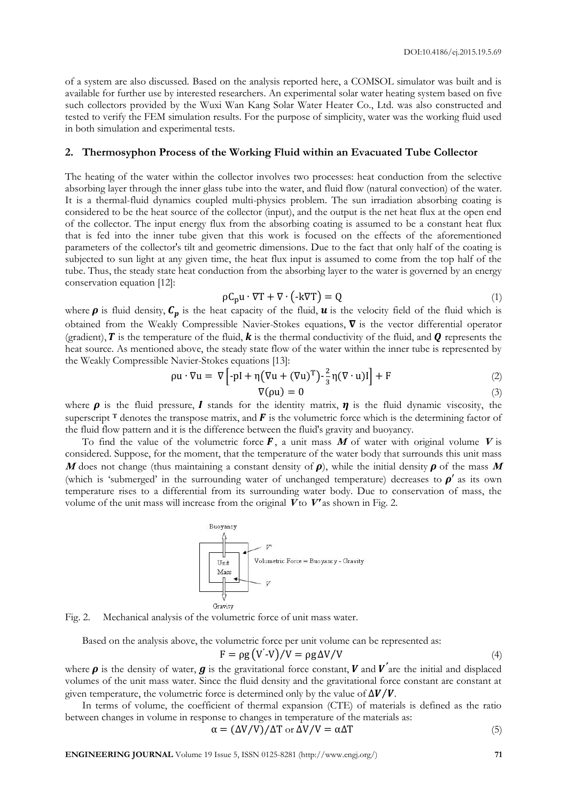of a system are also discussed. Based on the analysis reported here, a COMSOL simulator was built and is available for further use by interested researchers. An experimental solar water heating system based on five such collectors provided by the Wuxi Wan Kang Solar Water Heater Co., Ltd. was also constructed and tested to verify the FEM simulation results. For the purpose of simplicity, water was the working fluid used in both simulation and experimental tests.

# **2. Thermosyphon Process of the Working Fluid within an Evacuated Tube Collector**

The heating of the water within the collector involves two processes: heat conduction from the selective absorbing layer through the inner glass tube into the water, and fluid flow (natural convection) of the water. It is a thermal-fluid dynamics coupled multi-physics problem. The sun irradiation absorbing coating is considered to be the heat source of the collector (input), and the output is the net heat flux at the open end of the collector. The input energy flux from the absorbing coating is assumed to be a constant heat flux that is fed into the inner tube given that this work is focused on the effects of the aforementioned parameters of the collector's tilt and geometric dimensions. Due to the fact that only half of the coating is subjected to sun light at any given time, the heat flux input is assumed to come from the top half of the tube. Thus, the steady state heat conduction from the absorbing layer to the water is governed by an energy conservation equation [12]:

$$
\rho C_{\mathbf{p}} \mathbf{u} \cdot \nabla \mathbf{T} + \nabla \cdot (\mathbf{-k} \nabla \mathbf{T}) = \mathbf{Q} \tag{1}
$$

where  $\rho$  is fluid density,  $C_p$  is the heat capacity of the fluid,  $u$  is the velocity field of the fluid which is obtained from the Weakly Compressible Navier-Stokes equations,  $\nabla$  is the vector differential operator (gradient),  $T$  is the temperature of the fluid,  $k$  is the thermal conductivity of the fluid, and  $q$  represents the heat source. As mentioned above, the steady state flow of the water within the inner tube is represented by the Weakly Compressible Navier-Stokes equations [13]:

$$
\rho \mathbf{u} \cdot \nabla \mathbf{u} = \nabla \left[ -\rho \mathbf{I} + \eta \left( \nabla \mathbf{u} + (\nabla \mathbf{u})^{\mathrm{T}} \right) - \frac{2}{3} \eta (\nabla \cdot \mathbf{u}) \mathbf{I} \right] + \mathbf{F} \tag{2}
$$

$$
\nabla(\rho u) = 0 \tag{3}
$$

where  $\rho$  is the fluid pressure, I stands for the identity matrix,  $\eta$  is the fluid dynamic viscosity, the superscript  $\tau$  denotes the transpose matrix, and  $\vec{F}$  is the volumetric force which is the determining factor of the fluid flow pattern and it is the difference between the fluid's gravity and buoyancy.

To find the value of the volumetric force  $\vec{F}$ , a unit mass  $\vec{M}$  of water with original volume  $\vec{V}$  is considered. Suppose, for the moment, that the temperature of the water body that surrounds this unit mass **M** does not change (thus maintaining a constant density of  $\rho$ ), while the initial density  $\rho$  of the mass **M** (which is 'submerged' in the surrounding water of unchanged temperature) decreases to  $\rho'$  as its own temperature rises to a differential from its surrounding water body. Due to conservation of mass, the volume of the unit mass will increase from the original **<sup>V</sup>** to **V'** as shown in Fig. 2.



Fig. 2. Mechanical analysis of the volumetric force of unit mass water.

Based on the analysis above, the volumetric force per unit volume can be represented as:

$$
F = \rho g (V'-V)/V = \rho g \Delta V/V
$$
\n(4)

where  $\rho$  is the density of water,  $g$  is the gravitational force constant,  $V$  and  $V'$  are the initial and displaced volumes of the unit mass water. Since the fluid density and the gravitational force constant are constant at given temperature, the volumetric force is determined only by the value of  $\Delta V / V$ .

In terms of volume, the coefficient of thermal expansion (CTE) of materials is defined as the ratio between changes in volume in response to changes in temperature of the materials as:

$$
\alpha = (\Delta V/V)/\Delta T \text{ or } \Delta V/V = \alpha \Delta T \tag{5}
$$

**ENGINEERING JOURNAL** Volume 19 Issue 5, ISSN 0125-8281 (http://www.engj.org/) **71**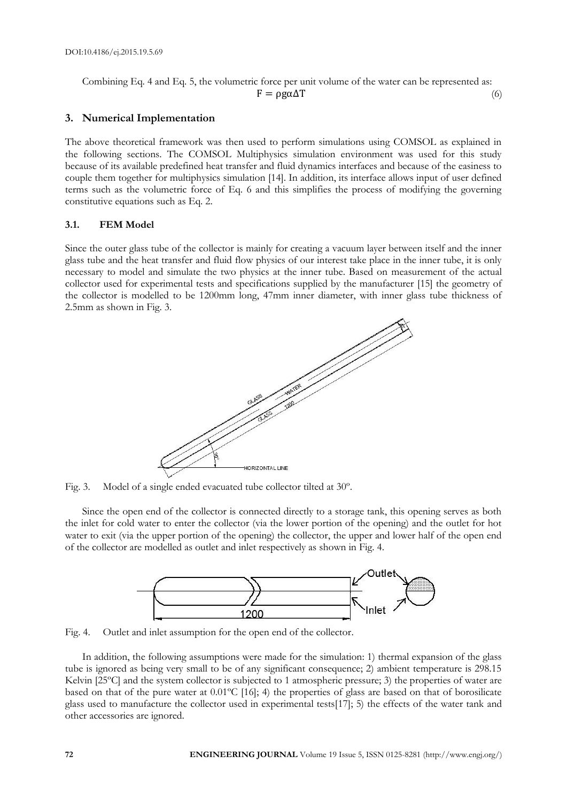Combining Eq. 4 and Eq. 5, the volumetric force per unit volume of the water can be represented as:  $F = \rho g \alpha \Delta T$  (6)

# **3. Numerical Implementation**

The above theoretical framework was then used to perform simulations using COMSOL as explained in the following sections. The COMSOL Multiphysics simulation environment was used for this study because of its available predefined heat transfer and fluid dynamics interfaces and because of the easiness to couple them together for multiphysics simulation [14]. In addition, its interface allows input of user defined terms such as the volumetric force of Eq. 6 and this simplifies the process of modifying the governing constitutive equations such as Eq. 2.

### **3.1. FEM Model**

Since the outer glass tube of the collector is mainly for creating a vacuum layer between itself and the inner glass tube and the heat transfer and fluid flow physics of our interest take place in the inner tube, it is only necessary to model and simulate the two physics at the inner tube. Based on measurement of the actual collector used for experimental tests and specifications supplied by the manufacturer [15] the geometry of the collector is modelled to be 1200mm long, 47mm inner diameter, with inner glass tube thickness of 2.5mm as shown in Fig. 3.



Fig. 3. Model of a single ended evacuated tube collector tilted at 30º.

Since the open end of the collector is connected directly to a storage tank, this opening serves as both the inlet for cold water to enter the collector (via the lower portion of the opening) and the outlet for hot water to exit (via the upper portion of the opening) the collector, the upper and lower half of the open end of the collector are modelled as outlet and inlet respectively as shown in Fig. 4.



Fig. 4. Outlet and inlet assumption for the open end of the collector.

In addition, the following assumptions were made for the simulation: 1) thermal expansion of the glass tube is ignored as being very small to be of any significant consequence; 2) ambient temperature is 298.15 Kelvin [25°C] and the system collector is subjected to 1 atmospheric pressure; 3) the properties of water are based on that of the pure water at 0.01ºC [16]; 4) the properties of glass are based on that of borosilicate glass used to manufacture the collector used in experimental tests[17]; 5) the effects of the water tank and other accessories are ignored.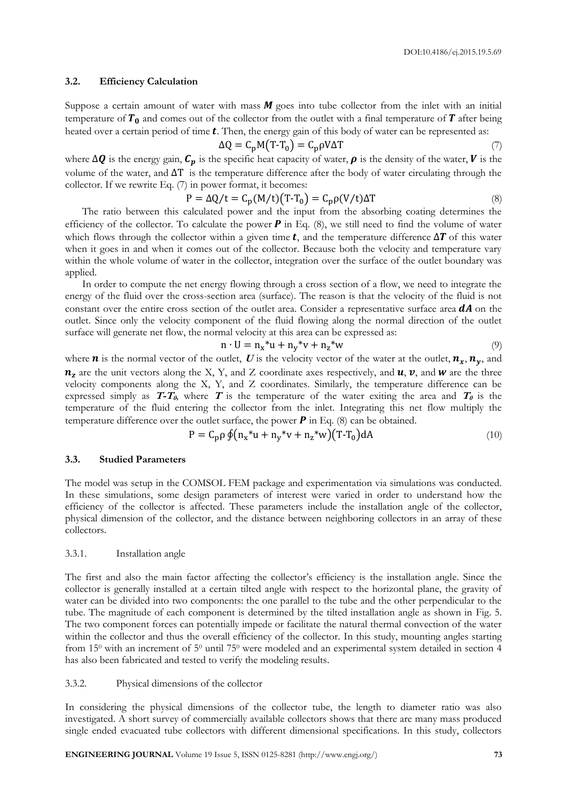#### **3.2. Efficiency Calculation**

Suppose a certain amount of water with mass  $M$  goes into tube collector from the inlet with an initial temperature of  $T_0$  and comes out of the collector from the outlet with a final temperature of  $T$  after being heated over a certain period of time  $t$ . Then, the energy gain of this body of water can be represented as:

$$
\Delta Q = C_p M (T - T_0) = C_p \rho V \Delta T \tag{7}
$$

where  $\Delta Q$  is the energy gain,  $C_p$  is the specific heat capacity of water,  $\rho$  is the density of the water,  $V$  is the volume of the water, and  $\Delta T$  is the temperature difference after the body of water circulating through the collector. If we rewrite Eq. (7) in power format, it becomes:

$$
P = \Delta Q/t = C_p(M/t)(T-T_0) = C_p\rho(V/t)\Delta T
$$
\n(8)

The ratio between this calculated power and the input from the absorbing coating determines the efficiency of the collector. To calculate the power  $P$  in Eq. (8), we still need to find the volume of water which flows through the collector within a given time **t**, and the temperature difference  $\Delta T$  of this water when it goes in and when it comes out of the collector. Because both the velocity and temperature vary within the whole volume of water in the collector, integration over the surface of the outlet boundary was applied.

In order to compute the net energy flowing through a cross section of a flow, we need to integrate the energy of the fluid over the cross-section area (surface). The reason is that the velocity of the fluid is not constant over the entire cross section of the outlet area. Consider a representative surface area  $dA$  on the outlet. Since only the velocity component of the fluid flowing along the normal direction of the outlet surface will generate net flow, the normal velocity at this area can be expressed as:

$$
n \cdot U = n_x * u + n_y * v + n_z * w \tag{9}
$$

where **n** is the normal vector of the outlet, **U** is the velocity vector of the water at the outlet,  $n_x$ ,  $n_y$ , and  $n_z$  are the unit vectors along the X, Y, and Z coordinate axes respectively, and  $u, v$ , and  $w$  are the three velocity components along the X, Y, and Z coordinates. Similarly, the temperature difference can be expressed simply as  $T-T_\theta$ , where  $T$  is the temperature of the water exiting the area and  $T_\theta$  is the temperature of the fluid entering the collector from the inlet. Integrating this net flow multiply the temperature difference over the outlet surface, the power  $\bm{P}$  in Eq. (8) can be obtained.

$$
P = C_p \rho \oint (n_x * u + n_y * v + n_z * w)(T - T_0) dA
$$
\n(10)

#### **3.3. Studied Parameters**

The model was setup in the COMSOL FEM package and experimentation via simulations was conducted. In these simulations, some design parameters of interest were varied in order to understand how the efficiency of the collector is affected. These parameters include the installation angle of the collector, physical dimension of the collector, and the distance between neighboring collectors in an array of these collectors.

#### 3.3.1. Installation angle

The first and also the main factor affecting the collector's efficiency is the installation angle. Since the collector is generally installed at a certain tilted angle with respect to the horizontal plane, the gravity of water can be divided into two components: the one parallel to the tube and the other perpendicular to the tube. The magnitude of each component is determined by the tilted installation angle as shown in Fig. 5. The two component forces can potentially impede or facilitate the natural thermal convection of the water within the collector and thus the overall efficiency of the collector. In this study, mounting angles starting from 15<sup>0</sup> with an increment of 5<sup>0</sup> until 75<sup>0</sup> were modeled and an experimental system detailed in section 4 has also been fabricated and tested to verify the modeling results.

#### 3.3.2. Physical dimensions of the collector

In considering the physical dimensions of the collector tube, the length to diameter ratio was also investigated. A short survey of commercially available collectors shows that there are many mass produced single ended evacuated tube collectors with different dimensional specifications. In this study, collectors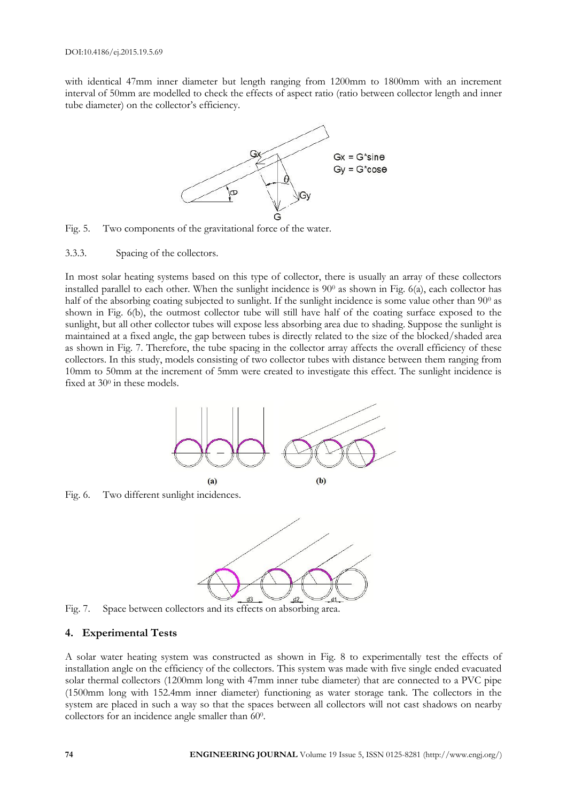with identical 47mm inner diameter but length ranging from 1200mm to 1800mm with an increment interval of 50mm are modelled to check the effects of aspect ratio (ratio between collector length and inner tube diameter) on the collector's efficiency.





3.3.3. Spacing of the collectors.

In most solar heating systems based on this type of collector, there is usually an array of these collectors installed parallel to each other. When the sunlight incidence is  $90^\circ$  as shown in Fig. 6(a), each collector has half of the absorbing coating subjected to sunlight. If the sunlight incidence is some value other than 90<sup>0</sup> as shown in Fig. 6(b), the outmost collector tube will still have half of the coating surface exposed to the sunlight, but all other collector tubes will expose less absorbing area due to shading. Suppose the sunlight is maintained at a fixed angle, the gap between tubes is directly related to the size of the blocked/shaded area as shown in Fig. 7. Therefore, the tube spacing in the collector array affects the overall efficiency of these collectors. In this study, models consisting of two collector tubes with distance between them ranging from 10mm to 50mm at the increment of 5mm were created to investigate this effect. The sunlight incidence is fixed at  $30^{\circ}$  in these models.



Fig. 6. Two different sunlight incidences.



Fig. 7. Space between collectors and its effects on absorbing area.

# **4. Experimental Tests**

A solar water heating system was constructed as shown in Fig. 8 to experimentally test the effects of installation angle on the efficiency of the collectors. This system was made with five single ended evacuated solar thermal collectors (1200mm long with 47mm inner tube diameter) that are connected to a PVC pipe (1500mm long with 152.4mm inner diameter) functioning as water storage tank. The collectors in the system are placed in such a way so that the spaces between all collectors will not cast shadows on nearby collectors for an incidence angle smaller than 600.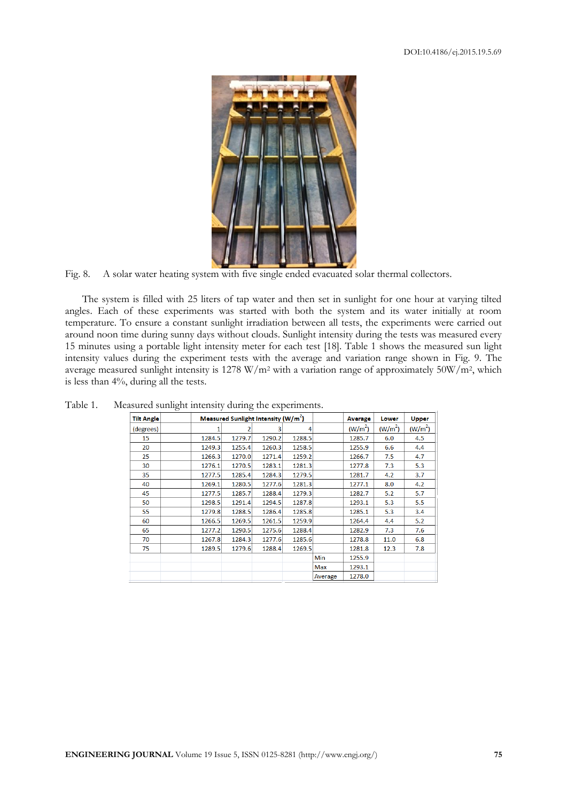

Fig. 8. A solar water heating system with five single ended evacuated solar thermal collectors.

The system is filled with 25 liters of tap water and then set in sunlight for one hour at varying tilted angles. Each of these experiments was started with both the system and its water initially at room temperature. To ensure a constant sunlight irradiation between all tests, the experiments were carried out around noon time during sunny days without clouds. Sunlight intensity during the tests was measured every 15 minutes using a portable light intensity meter for each test [18]. Table 1 shows the measured sun light intensity values during the experiment tests with the average and variation range shown in Fig. 9. The average measured sunlight intensity is 1278 W/m<sup>2</sup> with a variation range of approximately 50W/m<sup>2</sup>, which is less than 4%, during all the tests.

| <b>Tilt Angle</b> |        | Measured Sunlight Intensity $(W/m2)$ |        |        | <b>Average</b> |                     | Lower               | <b>Upper</b>        |
|-------------------|--------|--------------------------------------|--------|--------|----------------|---------------------|---------------------|---------------------|
| (degrees)         | 1      |                                      | 3      | 4      |                | (W/m <sup>2</sup> ) | (W/m <sup>2</sup> ) | (W/m <sup>2</sup> ) |
| 15                | 1284.5 | 1279.7                               | 1290.2 | 1288.5 |                | 1285.7              | 6.0                 | 4.5                 |
| 20                | 1249.3 | 1255.4                               | 1260.3 | 1258.5 |                | 1255.9              | 6.6                 | 4.4                 |
| 25                | 1266.3 | 1270.0                               | 1271.4 | 1259.2 |                | 1266.7              | 7.5                 | 4.7                 |
| 30                | 1276.1 | 1270.5                               | 1283.1 | 1281.3 |                | 1277.8              | 7.3                 | 5.3                 |
| 35                | 1277.5 | 1285.4                               | 1284.3 | 1279.5 |                | 1281.7              | 4.2                 | 3.7                 |
| 40                | 1269.1 | 1280.5                               | 1277.6 | 1281.3 |                | 1277.1              | 8.0                 | 4.2                 |
| 45                | 1277.5 | 1285.7                               | 1288.4 | 1279.3 |                | 1282.7              | 5.2                 | 5.7                 |
| 50                | 1298.5 | 1291.4                               | 1294.5 | 1287.8 |                | 1293.1              | 5.3                 | 5.5                 |
| 55                | 1279.8 | 1288.5                               | 1286.4 | 1285.8 |                | 1285.1              | 5.3                 | 3.4                 |
| 60                | 1266.5 | 1269.5                               | 1261.5 | 1259.9 |                | 1264.4              | 4.4                 | 5.2                 |
| 65                | 1277.2 | 1290.5                               | 1275.6 | 1288.4 |                | 1282.9              | 7.3                 | 7.6                 |
| 70                | 1267.8 | 1284.3                               | 1277.6 | 1285.6 |                | 1278.8              | 11.0                | 6.8                 |
| 75                | 1289.5 | 1279.6                               | 1288.4 | 1269.5 |                | 1281.8              | 12.3                | 7.8                 |
|                   |        |                                      |        |        | Min            | 1255.9              |                     |                     |
|                   |        |                                      |        |        | Max            | 1293.1              |                     |                     |
|                   |        |                                      |        |        | Average        | 1278.0              |                     |                     |

Table 1. Measured sunlight intensity during the experiments.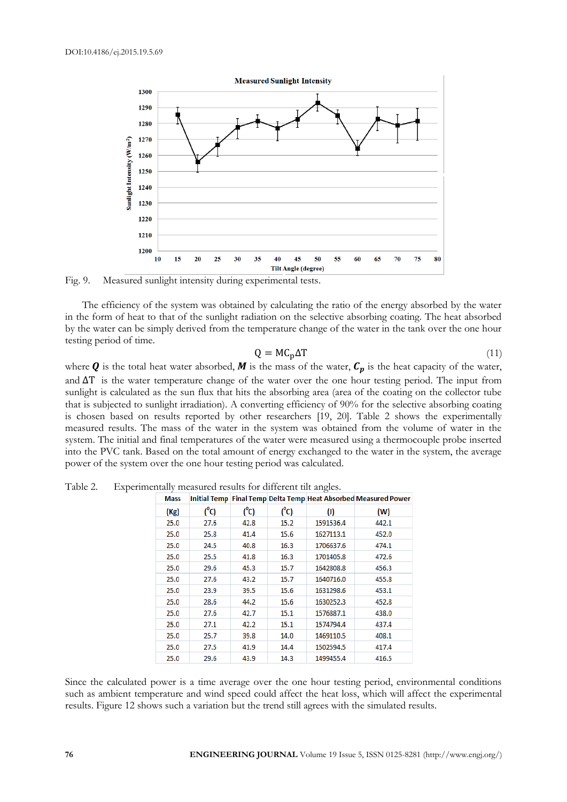

Fig. 9. Measured sunlight intensity during experimental tests.

The efficiency of the system was obtained by calculating the ratio of the energy absorbed by the water in the form of heat to that of the sunlight radiation on the selective absorbing coating. The heat absorbed by the water can be simply derived from the temperature change of the water in the tank over the one hour testing period of time.

$$
Q = MC_p \Delta T \tag{11}
$$

where **Q** is the total heat water absorbed, **M** is the mass of the water,  $C_p$  is the heat capacity of the water, and  $\Delta T$  is the water temperature change of the water over the one hour testing period. The input from sunlight is calculated as the sun flux that hits the absorbing area (area of the coating on the collector tube that is subjected to sunlight irradiation). A converting efficiency of 90% for the selective absorbing coating is chosen based on results reported by other researchers [19, 20]. Table 2 shows the experimentally measured results. The mass of the water in the system was obtained from the volume of water in the system. The initial and final temperatures of the water were measured using a thermocouple probe inserted into the PVC tank. Based on the total amount of energy exchanged to the water in the system, the average power of the system over the one hour testing period was calculated.

| Mass |         |         |         |                   | Initial Temp Final Temp Delta Temp Heat Absorbed Measured Power |
|------|---------|---------|---------|-------------------|-----------------------------------------------------------------|
| (Kg) | $(^0C)$ | $(^0C)$ | $(^0C)$ | $\left( 0\right)$ | (W)                                                             |
| 25.0 | 27.6    | 42.8    | 15.2    | 1591536.4         | 442.1                                                           |
| 25.0 | 25.8    | 41.4    | 15.6    | 1627113.1         | 452.0                                                           |
| 25.0 | 24.5    | 40.8    | 16.3    | 1706637.6         | 474.1                                                           |
| 25.0 | 25.5    | 41.8    | 16.3    | 1701405.8         | 472.6                                                           |
| 25.0 | 29.6    | 45.3    | 15.7    | 1642808.8         | 456.3                                                           |
| 25.0 | 27.6    | 43.2    | 15.7    | 1640716.0         | 455.8                                                           |
| 25.0 | 23.9    | 39.5    | 15.6    | 1631298.6         | 453.1                                                           |
| 25.0 | 28.6    | 44.2    | 15.6    | 1630252.3         | 452.8                                                           |
| 25.0 | 27.6    | 42.7    | 15.1    | 1576887.1         | 438.0                                                           |
| 25.0 | 27.1    | 42.2    | 15.1    | 1574794.4         | 437.4                                                           |
| 25.0 | 25.7    | 39.8    | 14.0    | 1469110.5         | 408.1                                                           |
| 25.0 | 27.5    | 41.9    | 14.4    | 1502594.5         | 417.4                                                           |
| 25.0 | 29.6    | 43.9    | 14.3    | 1499455.4         | 416.5                                                           |

Table 2. Experimentally measured results for different tilt angles.

Since the calculated power is a time average over the one hour testing period, environmental conditions such as ambient temperature and wind speed could affect the heat loss, which will affect the experimental results. Figure 12 shows such a variation but the trend still agrees with the simulated results.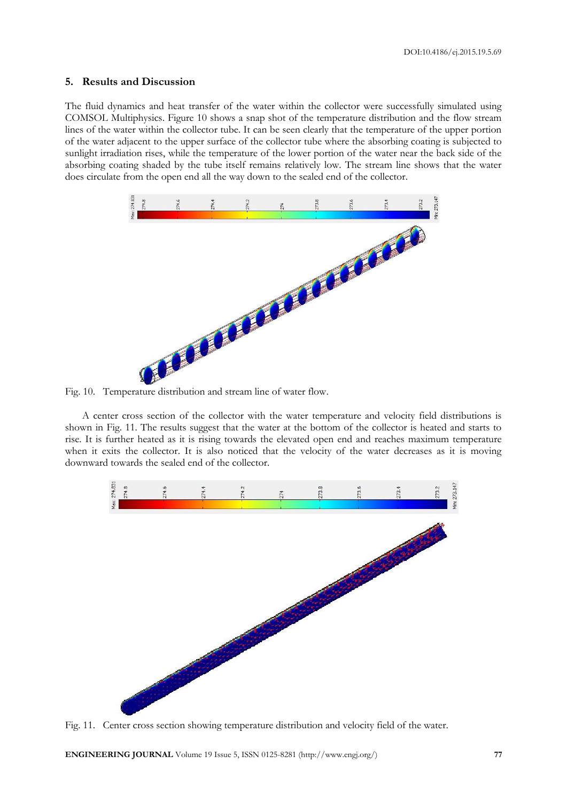## **5. Results and Discussion**

The fluid dynamics and heat transfer of the water within the collector were successfully simulated using COMSOL Multiphysics. Figure 10 shows a snap shot of the temperature distribution and the flow stream lines of the water within the collector tube. It can be seen clearly that the temperature of the upper portion of the water adjacent to the upper surface of the collector tube where the absorbing coating is subjected to sunlight irradiation rises, while the temperature of the lower portion of the water near the back side of the absorbing coating shaded by the tube itself remains relatively low. The stream line shows that the water does circulate from the open end all the way down to the sealed end of the collector.



A center cross section of the collector with the water temperature and velocity field distributions is shown in Fig. 11. The results suggest that the water at the bottom of the collector is heated and starts to rise. It is further heated as it is rising towards the elevated open end and reaches maximum temperature when it exits the collector. It is also noticed that the velocity of the water decreases as it is moving downward towards the sealed end of the collector.



Fig. 11. Center cross section showing temperature distribution and velocity field of the water.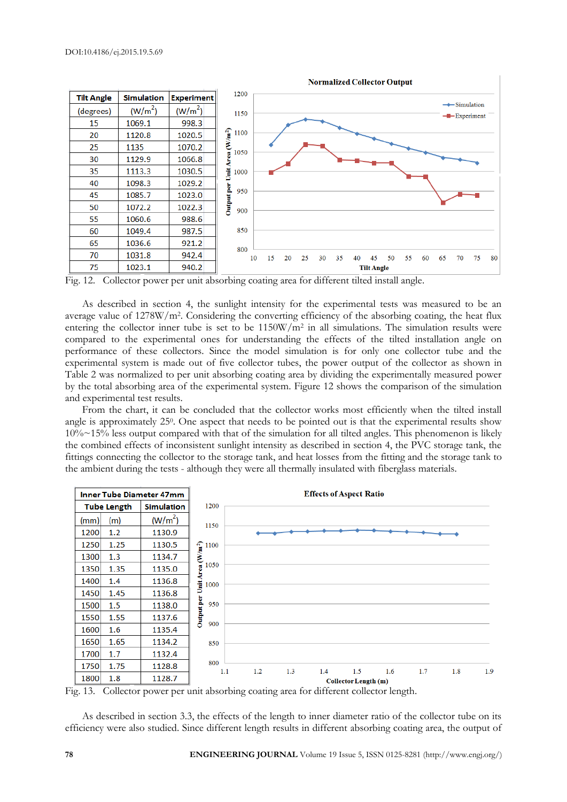

Fig. 12. Collector power per unit absorbing coating area for different tilted install angle.

As described in section 4, the sunlight intensity for the experimental tests was measured to be an average value of 1278W/m<sup>2</sup>. Considering the converting efficiency of the absorbing coating, the heat flux entering the collector inner tube is set to be 1150W/m<sup>2</sup> in all simulations. The simulation results were compared to the experimental ones for understanding the effects of the tilted installation angle on performance of these collectors. Since the model simulation is for only one collector tube and the experimental system is made out of five collector tubes, the power output of the collector as shown in Table 2 was normalized to per unit absorbing coating area by dividing the experimentally measured power by the total absorbing area of the experimental system. Figure 12 shows the comparison of the simulation and experimental test results.

From the chart, it can be concluded that the collector works most efficiently when the tilted install angle is approximately 25<sup>0</sup>. One aspect that needs to be pointed out is that the experimental results show  $10\% \sim 15\%$  less output compared with that of the simulation for all tilted angles. This phenomenon is likely the combined effects of inconsistent sunlight intensity as described in section 4, the PVC storage tank, the fittings connecting the collector to the storage tank, and heat losses from the fitting and the storage tank to the ambient during the tests - although they were all thermally insulated with fiberglass materials.



Fig. 13. Collector power per unit absorbing coating area for different collector length.

As described in section 3.3, the effects of the length to inner diameter ratio of the collector tube on its efficiency were also studied. Since different length results in different absorbing coating area, the output of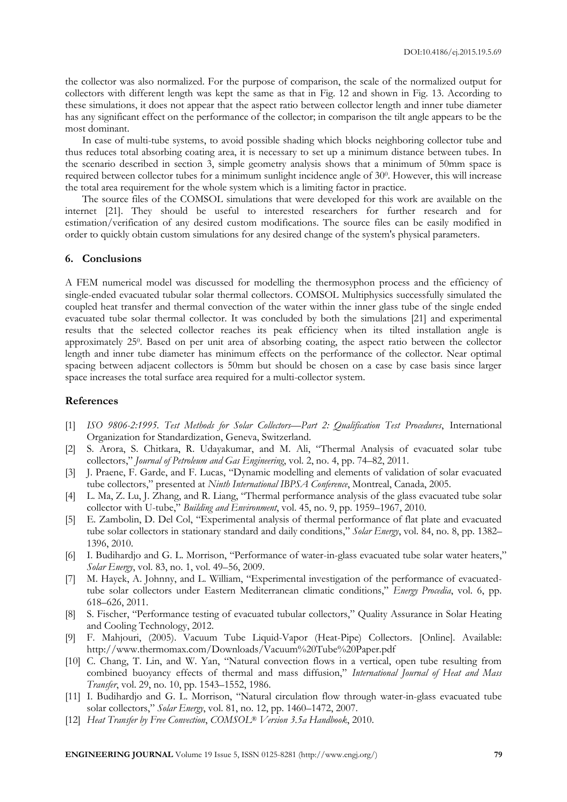the collector was also normalized. For the purpose of comparison, the scale of the normalized output for collectors with different length was kept the same as that in Fig. 12 and shown in Fig. 13. According to these simulations, it does not appear that the aspect ratio between collector length and inner tube diameter has any significant effect on the performance of the collector; in comparison the tilt angle appears to be the most dominant.

In case of multi-tube systems, to avoid possible shading which blocks neighboring collector tube and thus reduces total absorbing coating area, it is necessary to set up a minimum distance between tubes. In the scenario described in section 3, simple geometry analysis shows that a minimum of 50mm space is required between collector tubes for a minimum sunlight incidence angle of 30<sup>0</sup>. However, this will increase the total area requirement for the whole system which is a limiting factor in practice.

The source files of the COMSOL simulations that were developed for this work are available on the internet [21]. They should be useful to interested researchers for further research and for estimation/verification of any desired custom modifications. The source files can be easily modified in order to quickly obtain custom simulations for any desired change of the system's physical parameters.

#### **6. Conclusions**

A FEM numerical model was discussed for modelling the thermosyphon process and the efficiency of single-ended evacuated tubular solar thermal collectors. COMSOL Multiphysics successfully simulated the coupled heat transfer and thermal convection of the water within the inner glass tube of the single ended evacuated tube solar thermal collector. It was concluded by both the simulations [21] and experimental results that the selected collector reaches its peak efficiency when its tilted installation angle is approximately 25<sup>0</sup>. Based on per unit area of absorbing coating, the aspect ratio between the collector length and inner tube diameter has minimum effects on the performance of the collector. Near optimal spacing between adjacent collectors is 50mm but should be chosen on a case by case basis since larger space increases the total surface area required for a multi-collector system.

# **References**

- [1] *ISO 9806-2:1995. Test Methods for Solar Collectors—Part 2: Qualification Test Procedures*, International Organization for Standardization, Geneva, Switzerland.
- [2] S. Arora, S. Chitkara, R. Udayakumar, and M. Ali, "Thermal Analysis of evacuated solar tube collectors," *Journal of Petroleum and Gas Engineering*, vol. 2, no. 4, pp. 74–82, 2011.
- [3] J. Praene, F. Garde, and F. Lucas, "Dynamic modelling and elements of validation of solar evacuated tube collectors," presented at *Ninth International IBPSA Conference*, Montreal, Canada, 2005.
- [4] L. Ma, Z. Lu, J. Zhang, and R. Liang, "Thermal performance analysis of the glass evacuated tube solar collector with U-tube," *Building and Environment*, vol. 45, no. 9, pp. 1959–1967, 2010.
- [5] E. Zambolin, D. Del Col, "Experimental analysis of thermal performance of flat plate and evacuated tube solar collectors in stationary standard and daily conditions," *Solar Energy*, vol. 84, no. 8, pp. 1382– 1396, 2010.
- [6] I. Budihardjo and G. L. Morrison, "Performance of water-in-glass evacuated tube solar water heaters," *Solar Energy*, vol. 83, no. 1, vol. 49–56, 2009.
- [7] M. Hayek, A. Johnny, and L. William, "Experimental investigation of the performance of evacuatedtube solar collectors under Eastern Mediterranean climatic conditions," *Energy Procedia*, vol. 6, pp. 618–626, 2011.
- [8] S. Fischer, "Performance testing of evacuated tubular collectors," Quality Assurance in Solar Heating and Cooling Technology, 2012.
- [9] F. Mahjouri, (2005). Vacuum Tube Liquid-Vapor (Heat-Pipe) Collectors. [Online]. Available: http://www.thermomax.com/Downloads/Vacuum%20Tube%20Paper.pdf
- [10] C. Chang, T. Lin, and W. Yan, "Natural convection flows in a vertical, open tube resulting from combined buoyancy effects of thermal and mass diffusion," *International Journal of Heat and Mass Transfer*, vol. 29, no. 10, pp. 1543–1552, 1986.
- [11] I. Budihardjo and G. L. Morrison, "Natural circulation flow through water-in-glass evacuated tube solar collectors," *Solar Energy*, vol. 81, no. 12, pp. 1460–1472, 2007.
- [12] *Heat Transfer by Free Convection*, *COMSOL® Version 3.5a Handbook*, 2010.